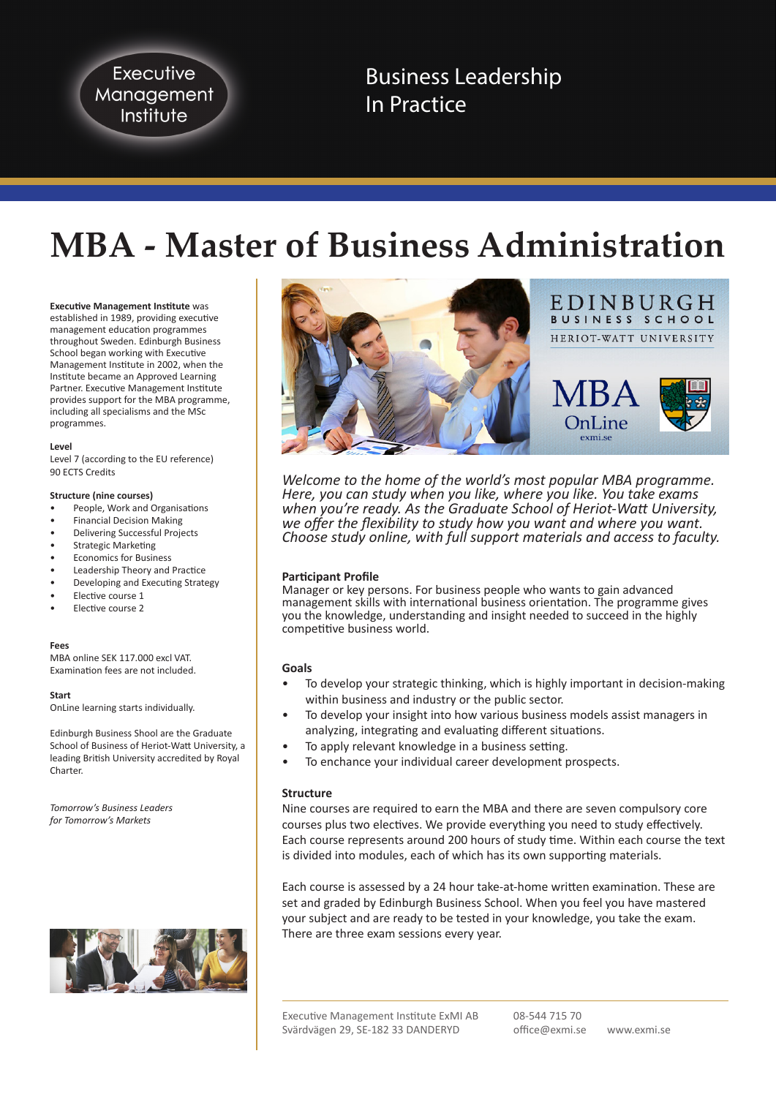Executive Management Institute

Business Leadership In Practice

# **MBA - Master of Business Administration**

**Executive Management Institute** was

established in 1989, providing executive management education programmes throughout Sweden. Edinburgh Business School began working with Executive Management Institute in 2002, when the Institute became an Approved Learning Partner. Executive Management Institute provides support for the MBA programme, including all specialisms and the MSc programmes.

#### **Level**

Level 7 (according to the EU reference) 90 ECTS Credits

#### **Structure (nine courses)**

- People, Work and Organisations
- Financial Decision Making
- Delivering Successful Projects
- Strategic Marketing
- Economics for Business
- Leadership Theory and Practice
- Developing and Executing Strategy
- Elective course 1
- Elective course 2

#### **Fees**

MBA online SEK 117.000 excl VAT. Examination fees are not included.

**Start**

OnLine learning starts individually.

Edinburgh Business Shool are the Graduate School of Business of Heriot-Watt University, a leading British University accredited by Royal Charter.

*Tomorrow's Business Leaders for Tomorrow's Markets*





*Welcome to the home of the world's most popular MBA programme. Here, you can study when you like, where you like. You take exams when you're ready. As the Graduate School of Heriot-Watt University, we offer the flexibility to study how you want and where you want. Choose study online, with full support materials and access to faculty.*

## **Participant Profile**

Manager or key persons. For business people who wants to gain advanced management skills with international business orientation. The programme gives you the knowledge, understanding and insight needed to succeed in the highly competitive business world.

#### **Goals**

- To develop your strategic thinking, which is highly important in decision-making within business and industry or the public sector.
- To develop your insight into how various business models assist managers in analyzing, integrating and evaluating different situations.
- To apply relevant knowledge in a business setting.
- To enchance your individual career development prospects.

## **Structure**

Nine courses are required to earn the MBA and there are seven compulsory core courses plus two electives. We provide everything you need to study effectively. Each course represents around 200 hours of study time. Within each course the text is divided into modules, each of which has its own supporting materials.

Each course is assessed by a 24 hour take-at-home written examination. These are set and graded by Edinburgh Business School. When you feel you have mastered your subject and are ready to be tested in your knowledge, you take the exam. There are three exam sessions every year.